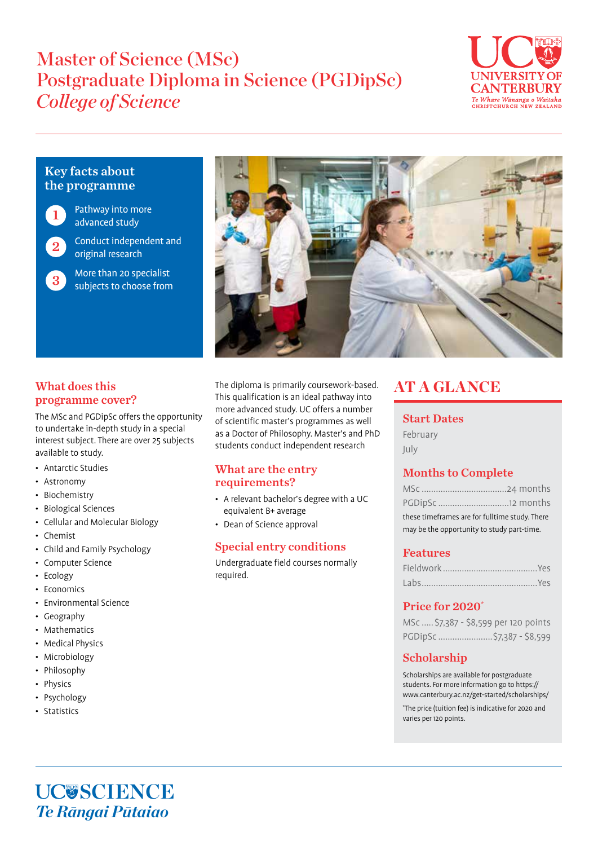# Master of Science (MSc) Postgraduate Diploma in Science (PGDipSc) *College of Science*



# Key facts about the programme

1

Pathway into more advanced study



Conduct independent and original research

More than 20 specialist **3** subjects to choose from



# What does this programme cover?

The MSc and PGDipSc offers the opportunity to undertake in-depth study in a special interest subject. There are over 25 subjects available to study.

- Antarctic Studies
- Astronomy
- Biochemistry
- Biological Sciences
- Cellular and Molecular Biology
- Chemist
- Child and Family Psychology
- Computer Science
- Ecology
- Economics
- Environmental Science
- Geography
- Mathematics
- Medical Physics
- Microbiology
- Philosophy
- Physics
- Psychology
- **Statistics**

The diploma is primarily coursework-based. This qualification is an ideal pathway into more advanced study. UC offers a number of scientific master's programmes as well as a Doctor of Philosophy. Master's and PhD students conduct independent research

## What are the entry requirements?

- A relevant bachelor's degree with a UC equivalent B+ average
- Dean of Science approval

## Special entry conditions

Undergraduate field courses normally required.

# AT A GLANCE

## Start Dates

February July

# Months to Complete

| these timeframes are for fulltime study. There |  |
|------------------------------------------------|--|
| may be the opportunity to study part-time.     |  |

# Features

# Price for 2020\*

| MSc  \$7,387 - \$8,599 per 120 points |  |
|---------------------------------------|--|
| PGDipSc \$7,387 - \$8,599             |  |

# Scholarship

Scholarships are available for postgraduate students. For more information go to https:// www.canterbury.ac.nz/get-started/scholarships/

\* The price (tuition fee) is indicative for 2020 and varies per 120 points.

# **UC@SCIENCE** *Te Rāngai Pūtaiao*